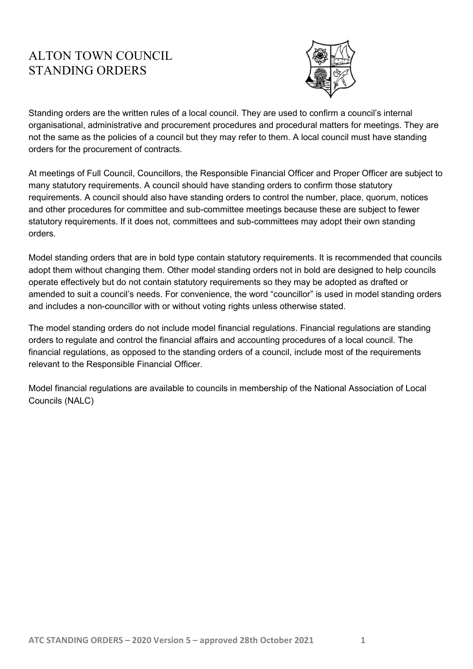#### ALTON TOWN COUNCIL STANDING ORDERS



Standing orders are the written rules of a local council. They are used to confirm a council's internal organisational, administrative and procurement procedures and procedural matters for meetings. They are not the same as the policies of a council but they may refer to them. A local council must have standing orders for the procurement of contracts.

At meetings of Full Council, Councillors, the Responsible Financial Officer and Proper Officer are subject to many statutory requirements. A council should have standing orders to confirm those statutory requirements. A council should also have standing orders to control the number, place, quorum, notices and other procedures for committee and sub-committee meetings because these are subject to fewer statutory requirements. If it does not, committees and sub-committees may adopt their own standing orders.

Model standing orders that are in bold type contain statutory requirements. It is recommended that councils adopt them without changing them. Other model standing orders not in bold are designed to help councils operate effectively but do not contain statutory requirements so they may be adopted as drafted or amended to suit a council's needs. For convenience, the word "councillor" is used in model standing orders and includes a non-councillor with or without voting rights unless otherwise stated.

The model standing orders do not include model financial regulations. Financial regulations are standing orders to regulate and control the financial affairs and accounting procedures of a local council. The financial regulations, as opposed to the standing orders of a council, include most of the requirements relevant to the Responsible Financial Officer.

Model financial regulations are available to councils in membership of the National Association of Local Councils (NALC)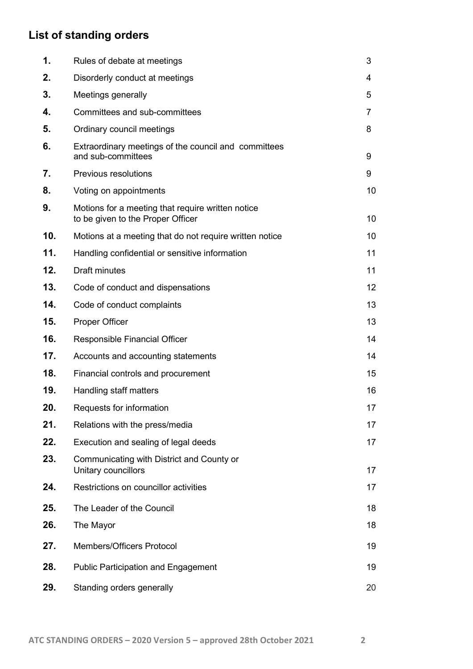## List of standing orders

| 1.  | Rules of debate at meetings                                                            | 3  |
|-----|----------------------------------------------------------------------------------------|----|
| 2.  | Disorderly conduct at meetings                                                         | 4  |
| 3.  | Meetings generally                                                                     | 5  |
| 4.  | Committees and sub-committees                                                          | 7  |
| 5.  | Ordinary council meetings                                                              | 8  |
| 6.  | Extraordinary meetings of the council and committees<br>and sub-committees             | 9  |
| 7.  | Previous resolutions                                                                   | 9  |
| 8.  | Voting on appointments                                                                 | 10 |
| 9.  | Motions for a meeting that require written notice<br>to be given to the Proper Officer | 10 |
| 10. | Motions at a meeting that do not require written notice                                | 10 |
| 11. | Handling confidential or sensitive information                                         | 11 |
| 12. | <b>Draft minutes</b>                                                                   | 11 |
| 13. | Code of conduct and dispensations                                                      | 12 |
| 14. | Code of conduct complaints                                                             | 13 |
| 15. | Proper Officer                                                                         | 13 |
| 16. | Responsible Financial Officer                                                          | 14 |
| 17. | Accounts and accounting statements                                                     | 14 |
| 18. | Financial controls and procurement                                                     | 15 |
| 19. | Handling staff matters                                                                 | 16 |
| 20. | Requests for information                                                               | 17 |
| 21. | Relations with the press/media                                                         | 17 |
| 22. | Execution and sealing of legal deeds                                                   | 17 |
| 23. | Communicating with District and County or<br>Unitary councillors                       | 17 |
| 24. | Restrictions on councillor activities                                                  | 17 |
| 25. | The Leader of the Council                                                              | 18 |
| 26. | The Mayor                                                                              | 18 |
| 27. | <b>Members/Officers Protocol</b>                                                       | 19 |
| 28. | <b>Public Participation and Engagement</b>                                             | 19 |
| 29. | Standing orders generally                                                              | 20 |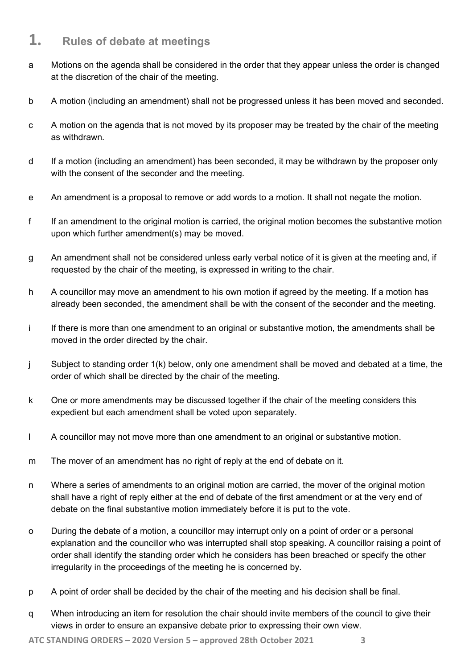#### 1. Rules of debate at meetings

- a Motions on the agenda shall be considered in the order that they appear unless the order is changed at the discretion of the chair of the meeting.
- b A motion (including an amendment) shall not be progressed unless it has been moved and seconded.
- c A motion on the agenda that is not moved by its proposer may be treated by the chair of the meeting as withdrawn.
- d If a motion (including an amendment) has been seconded, it may be withdrawn by the proposer only with the consent of the seconder and the meeting.
- e An amendment is a proposal to remove or add words to a motion. It shall not negate the motion.
- f If an amendment to the original motion is carried, the original motion becomes the substantive motion upon which further amendment(s) may be moved.
- g An amendment shall not be considered unless early verbal notice of it is given at the meeting and, if requested by the chair of the meeting, is expressed in writing to the chair.
- h A councillor may move an amendment to his own motion if agreed by the meeting. If a motion has already been seconded, the amendment shall be with the consent of the seconder and the meeting.
- i If there is more than one amendment to an original or substantive motion, the amendments shall be moved in the order directed by the chair.
- j Subject to standing order 1(k) below, only one amendment shall be moved and debated at a time, the order of which shall be directed by the chair of the meeting.
- k One or more amendments may be discussed together if the chair of the meeting considers this expedient but each amendment shall be voted upon separately.
- l A councillor may not move more than one amendment to an original or substantive motion.
- m The mover of an amendment has no right of reply at the end of debate on it.
- n Where a series of amendments to an original motion are carried, the mover of the original motion shall have a right of reply either at the end of debate of the first amendment or at the very end of debate on the final substantive motion immediately before it is put to the vote.
- o During the debate of a motion, a councillor may interrupt only on a point of order or a personal explanation and the councillor who was interrupted shall stop speaking. A councillor raising a point of order shall identify the standing order which he considers has been breached or specify the other irregularity in the proceedings of the meeting he is concerned by.
- p A point of order shall be decided by the chair of the meeting and his decision shall be final.
- q When introducing an item for resolution the chair should invite members of the council to give their views in order to ensure an expansive debate prior to expressing their own view.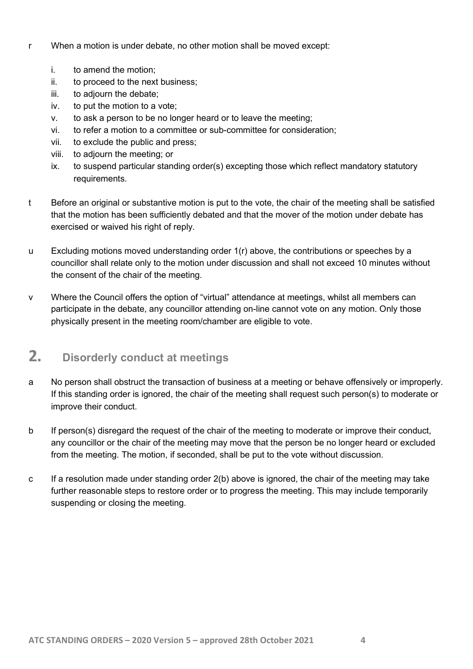- r When a motion is under debate, no other motion shall be moved except:
	- i. to amend the motion;
	- ii. to proceed to the next business;
	- iii. to adjourn the debate;
	- iv. to put the motion to a vote;
	- v. to ask a person to be no longer heard or to leave the meeting;
	- vi. to refer a motion to a committee or sub-committee for consideration;
	- vii. to exclude the public and press;
	- viii. to adjourn the meeting; or
	- ix. to suspend particular standing order(s) excepting those which reflect mandatory statutory requirements.
- t Before an original or substantive motion is put to the vote, the chair of the meeting shall be satisfied that the motion has been sufficiently debated and that the mover of the motion under debate has exercised or waived his right of reply.
- u Excluding motions moved understanding order 1(r) above, the contributions or speeches by a councillor shall relate only to the motion under discussion and shall not exceed 10 minutes without the consent of the chair of the meeting.
- v Where the Council offers the option of "virtual" attendance at meetings, whilst all members can participate in the debate, any councillor attending on-line cannot vote on any motion. Only those physically present in the meeting room/chamber are eligible to vote.

#### 2. Disorderly conduct at meetings

- a No person shall obstruct the transaction of business at a meeting or behave offensively or improperly. If this standing order is ignored, the chair of the meeting shall request such person(s) to moderate or improve their conduct.
- b If person(s) disregard the request of the chair of the meeting to moderate or improve their conduct, any councillor or the chair of the meeting may move that the person be no longer heard or excluded from the meeting. The motion, if seconded, shall be put to the vote without discussion.
- c If a resolution made under standing order  $2(b)$  above is ignored, the chair of the meeting may take further reasonable steps to restore order or to progress the meeting. This may include temporarily suspending or closing the meeting.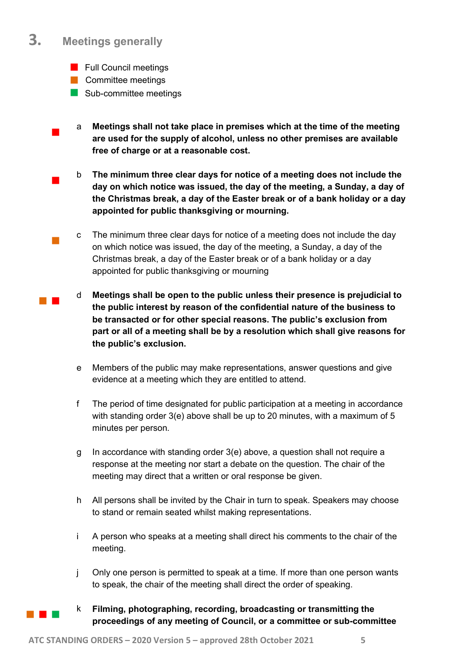#### 3. Meetings generally

 $\blacksquare$ 

 $\mathcal{L}_{\mathcal{A}}$ 

and the

- **Full Council meetings**
- **Committee meetings**
- Sub-committee meetings
- $\blacksquare$ a Meetings shall not take place in premises which at the time of the meeting are used for the supply of alcohol, unless no other premises are available free of charge or at a reasonable cost.
	- b The minimum three clear days for notice of a meeting does not include the day on which notice was issued, the day of the meeting, a Sunday, a day of the Christmas break, a day of the Easter break or of a bank holiday or a day appointed for public thanksgiving or mourning.
	- c The minimum three clear days for notice of a meeting does not include the day on which notice was issued, the day of the meeting, a Sunday, a day of the Christmas break, a day of the Easter break or of a bank holiday or a day appointed for public thanksgiving or mourning
	- d Meetings shall be open to the public unless their presence is prejudicial to the public interest by reason of the confidential nature of the business to be transacted or for other special reasons. The public's exclusion from part or all of a meeting shall be by a resolution which shall give reasons for the public's exclusion.
	- e Members of the public may make representations, answer questions and give evidence at a meeting which they are entitled to attend.
	- f The period of time designated for public participation at a meeting in accordance with standing order 3(e) above shall be up to 20 minutes, with a maximum of 5 minutes per person.
	- g In accordance with standing order 3(e) above, a question shall not require a response at the meeting nor start a debate on the question. The chair of the meeting may direct that a written or oral response be given.
	- h All persons shall be invited by the Chair in turn to speak. Speakers may choose to stand or remain seated whilst making representations.
	- i A person who speaks at a meeting shall direct his comments to the chair of the meeting.
	- j Only one person is permitted to speak at a time. If more than one person wants to speak, the chair of the meeting shall direct the order of speaking.
- a ka
- k Filming, photographing, recording, broadcasting or transmitting the proceedings of any meeting of Council, or a committee or sub-committee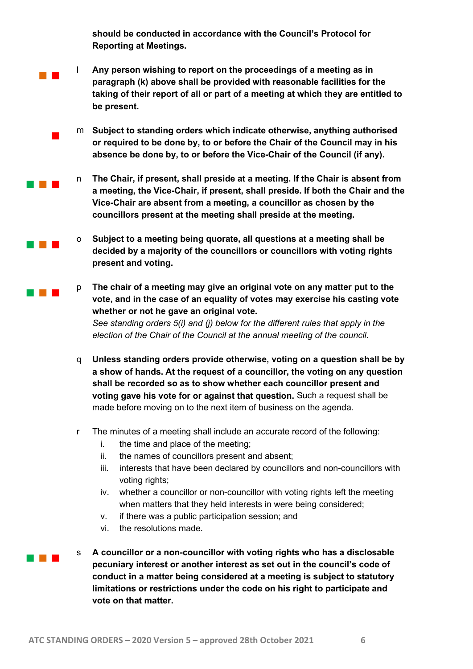should be conducted in accordance with the Council's Protocol for Reporting at Meetings.

**The Co** l Any person wishing to report on the proceedings of a meeting as in paragraph (k) above shall be provided with reasonable facilities for the taking of their report of all or part of a meeting at which they are entitled to be present.

> m Subject to standing orders which indicate otherwise, anything authorised or required to be done by, to or before the Chair of the Council may in his absence be done by, to or before the Vice-Chair of the Council (if any).

- n The Chair, if present, shall preside at a meeting. If the Chair is absent from a meeting, the Vice-Chair, if present, shall preside. If both the Chair and the Vice-Chair are absent from a meeting, a councillor as chosen by the councillors present at the meeting shall preside at the meeting.
- o Subject to a meeting being quorate, all questions at a meeting shall be decided by a majority of the councillors or councillors with voting rights present and voting.
- p The chair of a meeting may give an original vote on any matter put to the vote, and in the case of an equality of votes may exercise his casting vote whether or not he gave an original vote. See standing orders 5(i) and (j) below for the different rules that apply in the election of the Chair of the Council at the annual meeting of the council.
- q Unless standing orders provide otherwise, voting on a question shall be by a show of hands. At the request of a councillor, the voting on any question shall be recorded so as to show whether each councillor present and voting gave his vote for or against that question. Such a request shall be made before moving on to the next item of business on the agenda.
- r The minutes of a meeting shall include an accurate record of the following:
	- i. the time and place of the meeting;
	- ii. the names of councillors present and absent;
	- iii. interests that have been declared by councillors and non-councillors with voting rights;
	- iv. whether a councillor or non-councillor with voting rights left the meeting when matters that they held interests in were being considered;
	- v. if there was a public participation session; and
	- vi. the resolutions made.

 $\blacksquare$ 

**The Contract** 

an an Ind

**TELESCO** 

a kacamatan

A councillor or a non-councillor with voting rights who has a disclosable pecuniary interest or another interest as set out in the council's code of conduct in a matter being considered at a meeting is subject to statutory limitations or restrictions under the code on his right to participate and vote on that matter.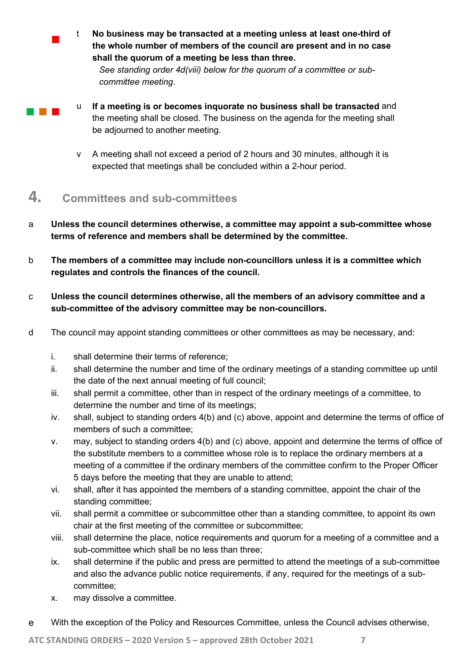t No business may be transacted at a meeting unless at least one-third of the whole number of members of the council are present and in no case shall the quorum of a meeting be less than three.

See standing order 4d(viii) below for the quorum of a committee or subcommittee meeting.

**The Co** 

 $\blacksquare$ 

- u If a meeting is or becomes inquorate no business shall be transacted and the meeting shall be closed. The business on the agenda for the meeting shall be adjourned to another meeting.
	- v A meeting shall not exceed a period of 2 hours and 30 minutes, although it is expected that meetings shall be concluded within a 2-hour period.

#### 4. Committees and sub-committees

- a Unless the council determines otherwise, a committee may appoint a sub-committee whose terms of reference and members shall be determined by the committee.
- b The members of a committee may include non-councillors unless it is a committee which regulates and controls the finances of the council.
- c Unless the council determines otherwise, all the members of an advisory committee and a sub-committee of the advisory committee may be non-councillors.
- d The council may appoint standing committees or other committees as may be necessary, and:
	- i. shall determine their terms of reference;
	- ii. shall determine the number and time of the ordinary meetings of a standing committee up until the date of the next annual meeting of full council;
	- iii. shall permit a committee, other than in respect of the ordinary meetings of a committee, to determine the number and time of its meetings;
	- iv. shall, subject to standing orders 4(b) and (c) above, appoint and determine the terms of office of members of such a committee;
	- v. may, subject to standing orders 4(b) and (c) above, appoint and determine the terms of office of the substitute members to a committee whose role is to replace the ordinary members at a meeting of a committee if the ordinary members of the committee confirm to the Proper Officer 5 days before the meeting that they are unable to attend;
	- vi. shall, after it has appointed the members of a standing committee, appoint the chair of the standing committee;
	- vii. shall permit a committee or subcommittee other than a standing committee, to appoint its own chair at the first meeting of the committee or subcommittee;
	- viii. shall determine the place, notice requirements and quorum for a meeting of a committee and a sub-committee which shall be no less than three;
	- ix. shall determine if the public and press are permitted to attend the meetings of a sub-committee and also the advance public notice requirements, if any, required for the meetings of a subcommittee;
	- x. may dissolve a committee.
- e With the exception of the Policy and Resources Committee, unless the Council advises otherwise,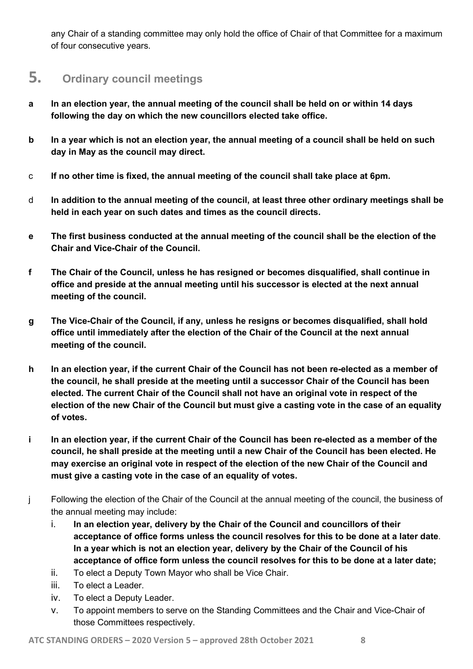any Chair of a standing committee may only hold the office of Chair of that Committee for a maximum of four consecutive years.

### 5. Ordinary council meetings

- a In an election year, the annual meeting of the council shall be held on or within 14 days following the day on which the new councillors elected take office.
- b In a year which is not an election year, the annual meeting of a council shall be held on such day in May as the council may direct.
- c If no other time is fixed, the annual meeting of the council shall take place at 6pm.
- d In addition to the annual meeting of the council, at least three other ordinary meetings shall be held in each year on such dates and times as the council directs.
- e The first business conducted at the annual meeting of the council shall be the election of the Chair and Vice-Chair of the Council.
- f The Chair of the Council, unless he has resigned or becomes disqualified, shall continue in office and preside at the annual meeting until his successor is elected at the next annual meeting of the council.
- g The Vice-Chair of the Council, if any, unless he resigns or becomes disqualified, shall hold office until immediately after the election of the Chair of the Council at the next annual meeting of the council.
- h In an election year, if the current Chair of the Council has not been re-elected as a member of the council, he shall preside at the meeting until a successor Chair of the Council has been elected. The current Chair of the Council shall not have an original vote in respect of the election of the new Chair of the Council but must give a casting vote in the case of an equality of votes.
- i In an election year, if the current Chair of the Council has been re-elected as a member of the council, he shall preside at the meeting until a new Chair of the Council has been elected. He may exercise an original vote in respect of the election of the new Chair of the Council and must give a casting vote in the case of an equality of votes.
- j Following the election of the Chair of the Council at the annual meeting of the council, the business of the annual meeting may include:
	- i. In an election year, delivery by the Chair of the Council and councillors of their acceptance of office forms unless the council resolves for this to be done at a later date. In a year which is not an election year, delivery by the Chair of the Council of his acceptance of office form unless the council resolves for this to be done at a later date;
	- ii. To elect a Deputy Town Mayor who shall be Vice Chair.
	- iii. To elect a Leader.
	- iv. To elect a Deputy Leader.
	- v. To appoint members to serve on the Standing Committees and the Chair and Vice-Chair of those Committees respectively.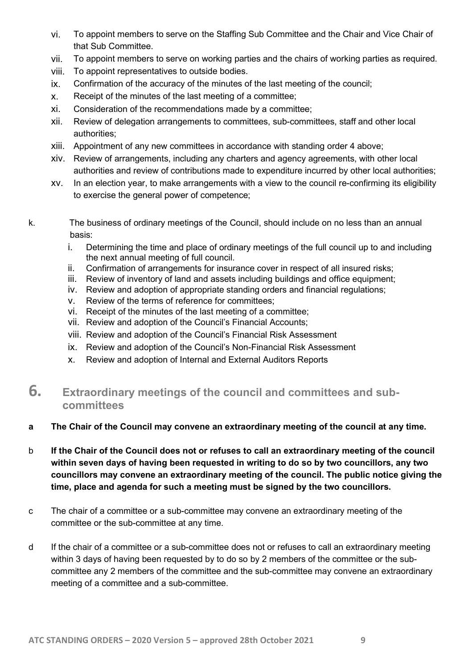- vi. To appoint members to serve on the Staffing Sub Committee and the Chair and Vice Chair of that Sub Committee.
- vii. To appoint members to serve on working parties and the chairs of working parties as required.
- viii. To appoint representatives to outside bodies.
- ix. Confirmation of the accuracy of the minutes of the last meeting of the council;
- x. Receipt of the minutes of the last meeting of a committee;
- xi. Consideration of the recommendations made by a committee;
- xii. Review of delegation arrangements to committees, sub-committees, staff and other local authorities;
- xiii. Appointment of any new committees in accordance with standing order 4 above;
- xiv. Review of arrangements, including any charters and agency agreements, with other local authorities and review of contributions made to expenditure incurred by other local authorities;
- xv. In an election year, to make arrangements with a view to the council re-confirming its eligibility to exercise the general power of competence;
- k. The business of ordinary meetings of the Council, should include on no less than an annual basis:
	- i. Determining the time and place of ordinary meetings of the full council up to and including the next annual meeting of full council.
	- ii. Confirmation of arrangements for insurance cover in respect of all insured risks;
	- iii. Review of inventory of land and assets including buildings and office equipment;
	- iv. Review and adoption of appropriate standing orders and financial regulations;
	- v. Review of the terms of reference for committees;
	- vi. Receipt of the minutes of the last meeting of a committee;
	- vii. Review and adoption of the Council's Financial Accounts;
	- viii. Review and adoption of the Council's Financial Risk Assessment
	- ix. Review and adoption of the Council's Non-Financial Risk Assessment
	- x. Review and adoption of Internal and External Auditors Reports

#### 6. Extraordinary meetings of the council and committees and subcommittees

#### a The Chair of the Council may convene an extraordinary meeting of the council at any time.

- b If the Chair of the Council does not or refuses to call an extraordinary meeting of the council within seven days of having been requested in writing to do so by two councillors, any two councillors may convene an extraordinary meeting of the council. The public notice giving the time, place and agenda for such a meeting must be signed by the two councillors.
- c The chair of a committee or a sub-committee may convene an extraordinary meeting of the committee or the sub-committee at any time.
- d If the chair of a committee or a sub-committee does not or refuses to call an extraordinary meeting within 3 days of having been requested by to do so by 2 members of the committee or the subcommittee any 2 members of the committee and the sub-committee may convene an extraordinary meeting of a committee and a sub-committee.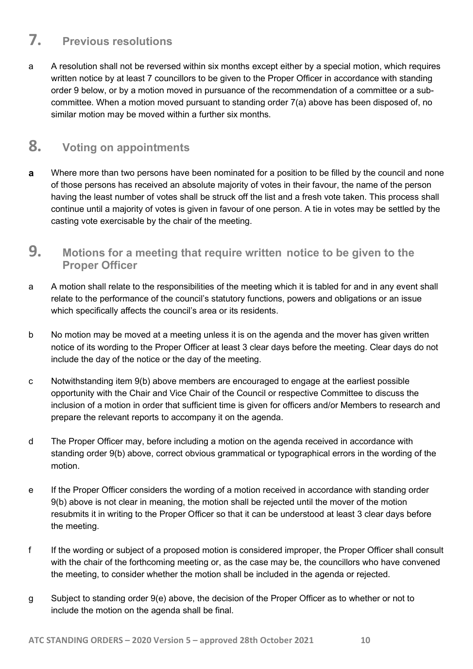### 7. Previous resolutions

a A resolution shall not be reversed within six months except either by a special motion, which requires written notice by at least 7 councillors to be given to the Proper Officer in accordance with standing order 9 below, or by a motion moved in pursuance of the recommendation of a committee or a subcommittee. When a motion moved pursuant to standing order 7(a) above has been disposed of, no similar motion may be moved within a further six months.

#### 8. Voting on appointments

- a Where more than two persons have been nominated for a position to be filled by the council and none of those persons has received an absolute majority of votes in their favour, the name of the person having the least number of votes shall be struck off the list and a fresh vote taken. This process shall continue until a majority of votes is given in favour of one person. A tie in votes may be settled by the casting vote exercisable by the chair of the meeting.
- 9. Motions for a meeting that require written notice to be given to the Proper Officer
- a A motion shall relate to the responsibilities of the meeting which it is tabled for and in any event shall relate to the performance of the council's statutory functions, powers and obligations or an issue which specifically affects the council's area or its residents.
- b No motion may be moved at a meeting unless it is on the agenda and the mover has given written notice of its wording to the Proper Officer at least 3 clear days before the meeting. Clear days do not include the day of the notice or the day of the meeting.
- c Notwithstanding item 9(b) above members are encouraged to engage at the earliest possible opportunity with the Chair and Vice Chair of the Council or respective Committee to discuss the inclusion of a motion in order that sufficient time is given for officers and/or Members to research and prepare the relevant reports to accompany it on the agenda.
- d The Proper Officer may, before including a motion on the agenda received in accordance with standing order 9(b) above, correct obvious grammatical or typographical errors in the wording of the motion.
- e If the Proper Officer considers the wording of a motion received in accordance with standing order 9(b) above is not clear in meaning, the motion shall be rejected until the mover of the motion resubmits it in writing to the Proper Officer so that it can be understood at least 3 clear days before the meeting.
- f If the wording or subject of a proposed motion is considered improper, the Proper Officer shall consult with the chair of the forthcoming meeting or, as the case may be, the councillors who have convened the meeting, to consider whether the motion shall be included in the agenda or rejected.
- g Subject to standing order 9(e) above, the decision of the Proper Officer as to whether or not to include the motion on the agenda shall be final.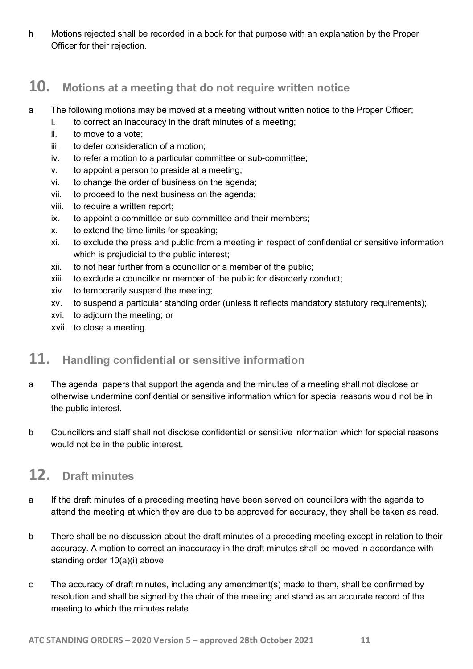h Motions rejected shall be recorded in a book for that purpose with an explanation by the Proper Officer for their rejection.

#### 10. Motions at a meeting that do not require written notice

- a The following motions may be moved at a meeting without written notice to the Proper Officer;
	- i. to correct an inaccuracy in the draft minutes of a meeting;
	- ii. to move to a vote;
	- iii. to defer consideration of a motion;
	- iv. to refer a motion to a particular committee or sub-committee;
	- v. to appoint a person to preside at a meeting;
	- vi. to change the order of business on the agenda;
	- vii. to proceed to the next business on the agenda;
	- viii. to require a written report;
	- ix. to appoint a committee or sub-committee and their members;
	- x. to extend the time limits for speaking;
	- xi. to exclude the press and public from a meeting in respect of confidential or sensitive information which is prejudicial to the public interest;
	- xii. to not hear further from a councillor or a member of the public;
	- xiii. to exclude a councillor or member of the public for disorderly conduct;
	- xiv. to temporarily suspend the meeting;
	- xv. to suspend a particular standing order (unless it reflects mandatory statutory requirements);
	- xvi. to adjourn the meeting; or
	- xvii. to close a meeting.

## 11. Handling confidential or sensitive information

- a The agenda, papers that support the agenda and the minutes of a meeting shall not disclose or otherwise undermine confidential or sensitive information which for special reasons would not be in the public interest.
- b Councillors and staff shall not disclose confidential or sensitive information which for special reasons would not be in the public interest.

#### 12. Draft minutes

- a If the draft minutes of a preceding meeting have been served on councillors with the agenda to attend the meeting at which they are due to be approved for accuracy, they shall be taken as read.
- b There shall be no discussion about the draft minutes of a preceding meeting except in relation to their accuracy. A motion to correct an inaccuracy in the draft minutes shall be moved in accordance with standing order 10(a)(i) above.
- c The accuracy of draft minutes, including any amendment(s) made to them, shall be confirmed by resolution and shall be signed by the chair of the meeting and stand as an accurate record of the meeting to which the minutes relate.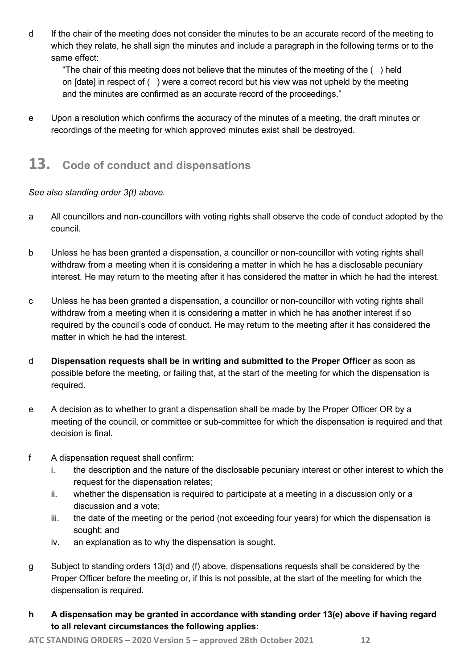d If the chair of the meeting does not consider the minutes to be an accurate record of the meeting to which they relate, he shall sign the minutes and include a paragraph in the following terms or to the same effect:

"The chair of this meeting does not believe that the minutes of the meeting of the ( ) held on [date] in respect of ( ) were a correct record but his view was not upheld by the meeting and the minutes are confirmed as an accurate record of the proceedings."

e Upon a resolution which confirms the accuracy of the minutes of a meeting, the draft minutes or recordings of the meeting for which approved minutes exist shall be destroyed.

## 13. Code of conduct and dispensations

See also standing order 3(t) above.

- a All councillors and non-councillors with voting rights shall observe the code of conduct adopted by the council.
- b Unless he has been granted a dispensation, a councillor or non-councillor with voting rights shall withdraw from a meeting when it is considering a matter in which he has a disclosable pecuniary interest. He may return to the meeting after it has considered the matter in which he had the interest.
- c Unless he has been granted a dispensation, a councillor or non-councillor with voting rights shall withdraw from a meeting when it is considering a matter in which he has another interest if so required by the council's code of conduct. He may return to the meeting after it has considered the matter in which he had the interest.
- d Dispensation requests shall be in writing and submitted to the Proper Officer as soon as possible before the meeting, or failing that, at the start of the meeting for which the dispensation is required.
- e A decision as to whether to grant a dispensation shall be made by the Proper Officer OR by a meeting of the council, or committee or sub-committee for which the dispensation is required and that decision is final.
- f A dispensation request shall confirm:
	- i. the description and the nature of the disclosable pecuniary interest or other interest to which the request for the dispensation relates;
	- ii. whether the dispensation is required to participate at a meeting in a discussion only or a discussion and a vote;
	- iii. the date of the meeting or the period (not exceeding four years) for which the dispensation is sought; and
	- iv. an explanation as to why the dispensation is sought.
- g Subject to standing orders 13(d) and (f) above, dispensations requests shall be considered by the Proper Officer before the meeting or, if this is not possible, at the start of the meeting for which the dispensation is required.
- h A dispensation may be granted in accordance with standing order 13(e) above if having regard to all relevant circumstances the following applies: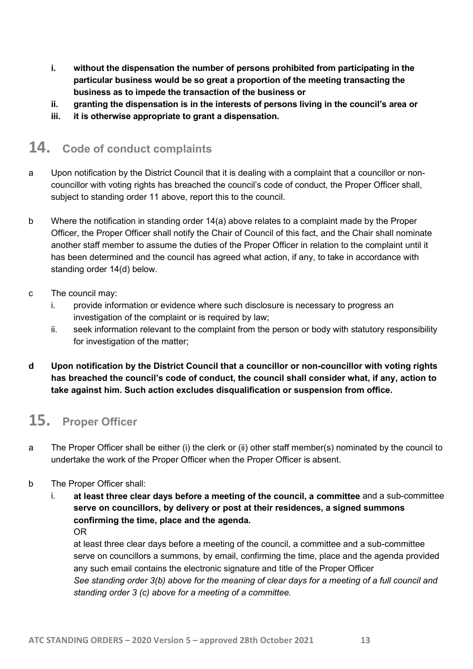- i. without the dispensation the number of persons prohibited from participating in the particular business would be so great a proportion of the meeting transacting the business as to impede the transaction of the business or
- ii. granting the dispensation is in the interests of persons living in the council's area or
- iii. it is otherwise appropriate to grant a dispensation.

### 14. Code of conduct complaints

- a Upon notification by the District Council that it is dealing with a complaint that a councillor or noncouncillor with voting rights has breached the council's code of conduct, the Proper Officer shall, subject to standing order 11 above, report this to the council.
- b Where the notification in standing order 14(a) above relates to a complaint made by the Proper Officer, the Proper Officer shall notify the Chair of Council of this fact, and the Chair shall nominate another staff member to assume the duties of the Proper Officer in relation to the complaint until it has been determined and the council has agreed what action, if any, to take in accordance with standing order 14(d) below.
- c The council may:
	- i. provide information or evidence where such disclosure is necessary to progress an investigation of the complaint or is required by law;
	- ii. seek information relevant to the complaint from the person or body with statutory responsibility for investigation of the matter;
- d Upon notification by the District Council that a councillor or non-councillor with voting rights has breached the council's code of conduct, the council shall consider what, if any, action to take against him. Such action excludes disqualification or suspension from office.

## 15. Proper Officer

- a The Proper Officer shall be either (i) the clerk or (ii) other staff member(s) nominated by the council to undertake the work of the Proper Officer when the Proper Officer is absent.
- b The Proper Officer shall:
	- i. at least three clear days before a meeting of the council, a committee and a sub-committee serve on councillors, by delivery or post at their residences, a signed summons confirming the time, place and the agenda. OR

at least three clear days before a meeting of the council, a committee and a sub-committee serve on councillors a summons, by email, confirming the time, place and the agenda provided any such email contains the electronic signature and title of the Proper Officer See standing order 3(b) above for the meaning of clear days for a meeting of a full council and standing order 3 (c) above for a meeting of a committee.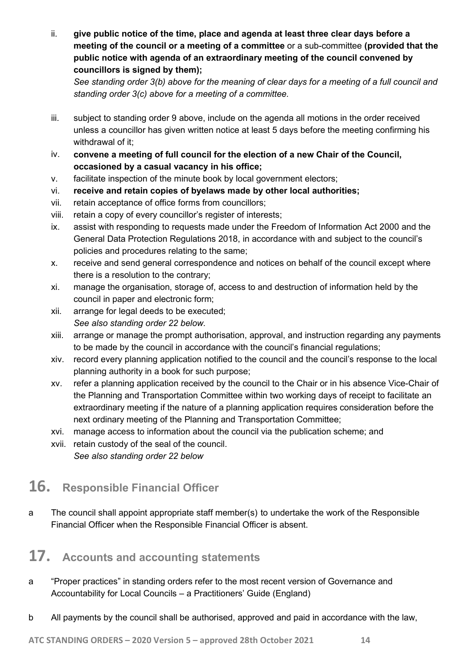ii. give public notice of the time, place and agenda at least three clear days before a meeting of the council or a meeting of a committee or a sub-committee (provided that the public notice with agenda of an extraordinary meeting of the council convened by councillors is signed by them);

See standing order 3(b) above for the meaning of clear days for a meeting of a full council and standing order 3(c) above for a meeting of a committee.

- iii. subject to standing order 9 above, include on the agenda all motions in the order received unless a councillor has given written notice at least 5 days before the meeting confirming his withdrawal of it;
- iv. convene a meeting of full council for the election of a new Chair of the Council, occasioned by a casual vacancy in his office;
- v. facilitate inspection of the minute book by local government electors;
- vi. receive and retain copies of byelaws made by other local authorities;
- vii. retain acceptance of office forms from councillors;
- viii. retain a copy of every councillor's register of interests;
- ix. assist with responding to requests made under the Freedom of Information Act 2000 and the General Data Protection Regulations 2018, in accordance with and subject to the council's policies and procedures relating to the same;
- x. receive and send general correspondence and notices on behalf of the council except where there is a resolution to the contrary;
- xi. manage the organisation, storage of, access to and destruction of information held by the council in paper and electronic form;
- xii. arrange for legal deeds to be executed; See also standing order 22 below.
- xiii. arrange or manage the prompt authorisation, approval, and instruction regarding any payments to be made by the council in accordance with the council's financial regulations;
- xiv. record every planning application notified to the council and the council's response to the local planning authority in a book for such purpose;
- xv. refer a planning application received by the council to the Chair or in his absence Vice-Chair of the Planning and Transportation Committee within two working days of receipt to facilitate an extraordinary meeting if the nature of a planning application requires consideration before the next ordinary meeting of the Planning and Transportation Committee;
- xvi. manage access to information about the council via the publication scheme; and
- xvii. retain custody of the seal of the council. See also standing order 22 below

### 16. Responsible Financial Officer

a The council shall appoint appropriate staff member(s) to undertake the work of the Responsible Financial Officer when the Responsible Financial Officer is absent.

# 17. Accounts and accounting statements

- a "Proper practices" in standing orders refer to the most recent version of Governance and Accountability for Local Councils – a Practitioners' Guide (England)
- b All payments by the council shall be authorised, approved and paid in accordance with the law,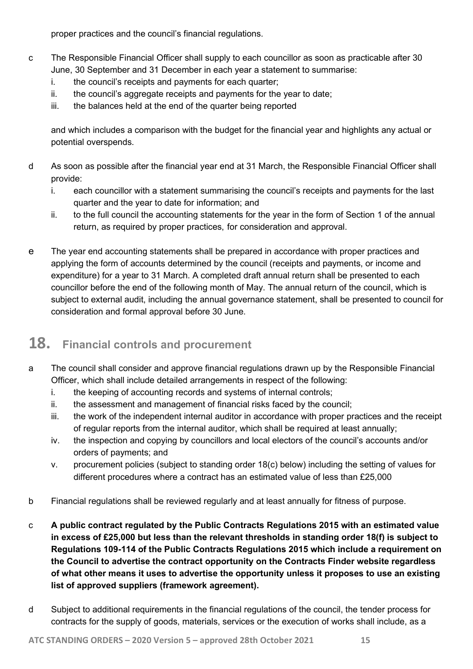proper practices and the council's financial regulations.

- c The Responsible Financial Officer shall supply to each councillor as soon as practicable after 30 June, 30 September and 31 December in each year a statement to summarise:
	- i. the council's receipts and payments for each quarter;
	- ii. the council's aggregate receipts and payments for the year to date;
	- iii. the balances held at the end of the quarter being reported

and which includes a comparison with the budget for the financial year and highlights any actual or potential overspends.

- d As soon as possible after the financial year end at 31 March, the Responsible Financial Officer shall provide:
	- i. each councillor with a statement summarising the council's receipts and payments for the last quarter and the year to date for information; and
	- ii. to the full council the accounting statements for the year in the form of Section 1 of the annual return, as required by proper practices, for consideration and approval.
- e The year end accounting statements shall be prepared in accordance with proper practices and applying the form of accounts determined by the council (receipts and payments, or income and expenditure) for a year to 31 March. A completed draft annual return shall be presented to each councillor before the end of the following month of May. The annual return of the council, which is subject to external audit, including the annual governance statement, shall be presented to council for consideration and formal approval before 30 June.

### 18. Financial controls and procurement

- a The council shall consider and approve financial regulations drawn up by the Responsible Financial Officer, which shall include detailed arrangements in respect of the following:
	- i. the keeping of accounting records and systems of internal controls;
	- ii. the assessment and management of financial risks faced by the council;
	- iii. the work of the independent internal auditor in accordance with proper practices and the receipt of regular reports from the internal auditor, which shall be required at least annually;
	- iv. the inspection and copying by councillors and local electors of the council's accounts and/or orders of payments; and
	- v. procurement policies (subject to standing order 18(c) below) including the setting of values for different procedures where a contract has an estimated value of less than £25,000
- b Financial regulations shall be reviewed regularly and at least annually for fitness of purpose.
- c A public contract regulated by the Public Contracts Regulations 2015 with an estimated value in excess of £25,000 but less than the relevant thresholds in standing order 18(f) is subject to Regulations 109-114 of the Public Contracts Regulations 2015 which include a requirement on the Council to advertise the contract opportunity on the Contracts Finder website regardless of what other means it uses to advertise the opportunity unless it proposes to use an existing list of approved suppliers (framework agreement).
- d Subject to additional requirements in the financial regulations of the council, the tender process for contracts for the supply of goods, materials, services or the execution of works shall include, as a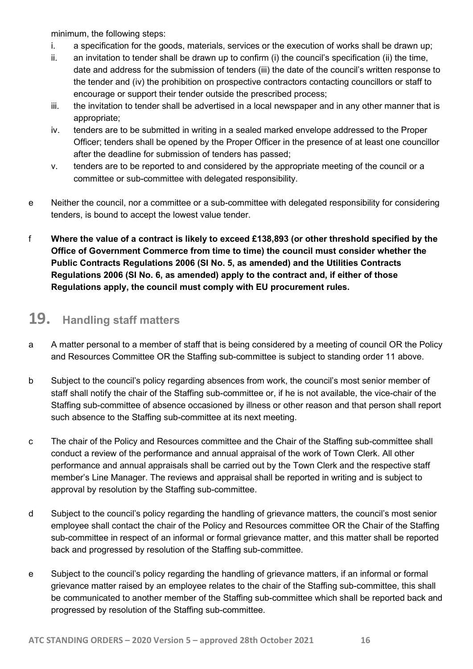minimum, the following steps:

- i. a specification for the goods, materials, services or the execution of works shall be drawn up;
- ii. an invitation to tender shall be drawn up to confirm (i) the council's specification (ii) the time, date and address for the submission of tenders (iii) the date of the council's written response to the tender and (iv) the prohibition on prospective contractors contacting councillors or staff to encourage or support their tender outside the prescribed process;
- iii. the invitation to tender shall be advertised in a local newspaper and in any other manner that is appropriate;
- iv. tenders are to be submitted in writing in a sealed marked envelope addressed to the Proper Officer; tenders shall be opened by the Proper Officer in the presence of at least one councillor after the deadline for submission of tenders has passed;
- v. tenders are to be reported to and considered by the appropriate meeting of the council or a committee or sub-committee with delegated responsibility.
- e Neither the council, nor a committee or a sub-committee with delegated responsibility for considering tenders, is bound to accept the lowest value tender.
- f Where the value of a contract is likely to exceed £138,893 (or other threshold specified by the Office of Government Commerce from time to time) the council must consider whether the Public Contracts Regulations 2006 (SI No. 5, as amended) and the Utilities Contracts Regulations 2006 (SI No. 6, as amended) apply to the contract and, if either of those Regulations apply, the council must comply with EU procurement rules.

## 19. Handling staff matters

- a A matter personal to a member of staff that is being considered by a meeting of council OR the Policy and Resources Committee OR the Staffing sub-committee is subject to standing order 11 above.
- b Subject to the council's policy regarding absences from work, the council's most senior member of staff shall notify the chair of the Staffing sub-committee or, if he is not available, the vice-chair of the Staffing sub-committee of absence occasioned by illness or other reason and that person shall report such absence to the Staffing sub-committee at its next meeting.
- c The chair of the Policy and Resources committee and the Chair of the Staffing sub-committee shall conduct a review of the performance and annual appraisal of the work of Town Clerk. All other performance and annual appraisals shall be carried out by the Town Clerk and the respective staff member's Line Manager. The reviews and appraisal shall be reported in writing and is subject to approval by resolution by the Staffing sub-committee.
- d Subject to the council's policy regarding the handling of grievance matters, the council's most senior employee shall contact the chair of the Policy and Resources committee OR the Chair of the Staffing sub-committee in respect of an informal or formal grievance matter, and this matter shall be reported back and progressed by resolution of the Staffing sub-committee.
- e Subject to the council's policy regarding the handling of grievance matters, if an informal or formal grievance matter raised by an employee relates to the chair of the Staffing sub-committee, this shall be communicated to another member of the Staffing sub-committee which shall be reported back and progressed by resolution of the Staffing sub-committee.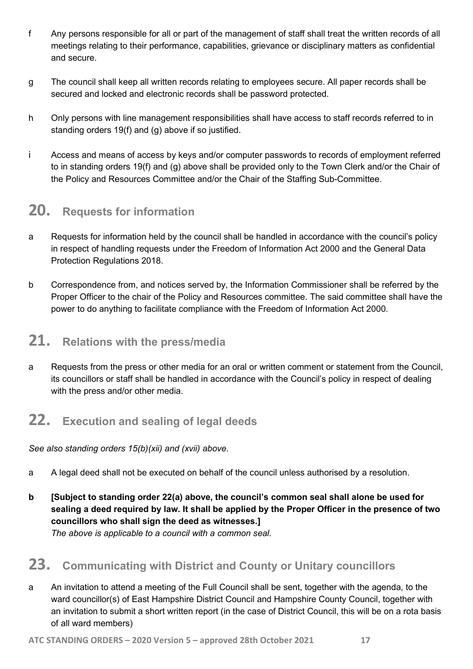- f Any persons responsible for all or part of the management of staff shall treat the written records of all meetings relating to their performance, capabilities, grievance or disciplinary matters as confidential and secure.
- g The council shall keep all written records relating to employees secure. All paper records shall be secured and locked and electronic records shall be password protected.
- h Only persons with line management responsibilities shall have access to staff records referred to in standing orders 19(f) and (g) above if so justified.
- i Access and means of access by keys and/or computer passwords to records of employment referred to in standing orders 19(f) and (g) above shall be provided only to the Town Clerk and/or the Chair of the Policy and Resources Committee and/or the Chair of the Staffing Sub-Committee.

### 20. Requests for information

- a Requests for information held by the council shall be handled in accordance with the council's policy in respect of handling requests under the Freedom of Information Act 2000 and the General Data Protection Regulations 2018.
- b Correspondence from, and notices served by, the Information Commissioner shall be referred by the Proper Officer to the chair of the Policy and Resources committee. The said committee shall have the power to do anything to facilitate compliance with the Freedom of Information Act 2000.

## 21. Relations with the press/media

a Requests from the press or other media for an oral or written comment or statement from the Council, its councillors or staff shall be handled in accordance with the Council's policy in respect of dealing with the press and/or other media.

## 22. Execution and sealing of legal deeds

See also standing orders  $15(b)(xii)$  and (xvii) above.

- a A legal deed shall not be executed on behalf of the council unless authorised by a resolution.
- b [Subject to standing order 22(a) above, the council's common seal shall alone be used for sealing a deed required by law. It shall be applied by the Proper Officer in the presence of two councillors who shall sign the deed as witnesses.] The above is applicable to a council with a common seal.

## 23. Communicating with District and County or Unitary councillors

a An invitation to attend a meeting of the Full Council shall be sent, together with the agenda, to the ward councillor(s) of East Hampshire District Council and Hampshire County Council, together with an invitation to submit a short written report (in the case of District Council, this will be on a rota basis of all ward members)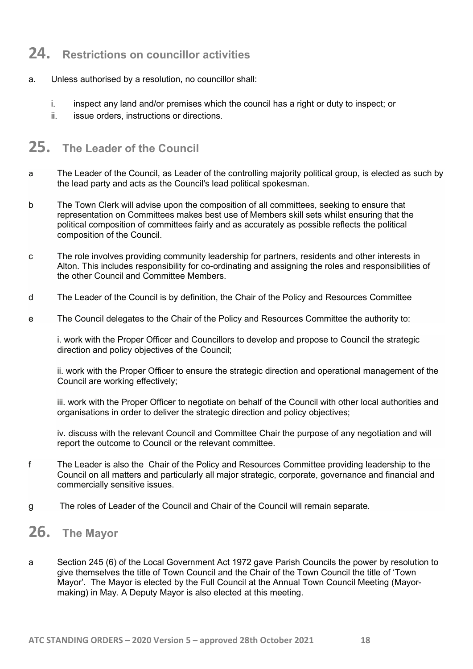### 24. Restrictions on councillor activities

- a. Unless authorised by a resolution, no councillor shall:
	- i. inspect any land and/or premises which the council has a right or duty to inspect; or
	- ii. issue orders, instructions or directions.

## 25. The Leader of the Council

- a The Leader of the Council, as Leader of the controlling majority political group, is elected as such by the lead party and acts as the Council's lead political spokesman.
- b The Town Clerk will advise upon the composition of all committees, seeking to ensure that representation on Committees makes best use of Members skill sets whilst ensuring that the political composition of committees fairly and as accurately as possible reflects the political composition of the Council.
- c The role involves providing community leadership for partners, residents and other interests in Alton. This includes responsibility for co-ordinating and assigning the roles and responsibilities of the other Council and Committee Members.
- d The Leader of the Council is by definition, the Chair of the Policy and Resources Committee
- e The Council delegates to the Chair of the Policy and Resources Committee the authority to:

i. work with the Proper Officer and Councillors to develop and propose to Council the strategic direction and policy objectives of the Council;

ii. work with the Proper Officer to ensure the strategic direction and operational management of the Council are working effectively;

iii. work with the Proper Officer to negotiate on behalf of the Council with other local authorities and organisations in order to deliver the strategic direction and policy objectives;

iv. discuss with the relevant Council and Committee Chair the purpose of any negotiation and will report the outcome to Council or the relevant committee.

- f The Leader is also the Chair of the Policy and Resources Committee providing leadership to the Council on all matters and particularly all major strategic, corporate, governance and financial and commercially sensitive issues.
- g The roles of Leader of the Council and Chair of the Council will remain separate.
- 26. The Mayor
- a Section 245 (6) of the Local Government Act 1972 gave Parish Councils the power by resolution to give themselves the title of Town Council and the Chair of the Town Council the title of 'Town Mayor'. The Mayor is elected by the Full Council at the Annual Town Council Meeting (Mayormaking) in May. A Deputy Mayor is also elected at this meeting.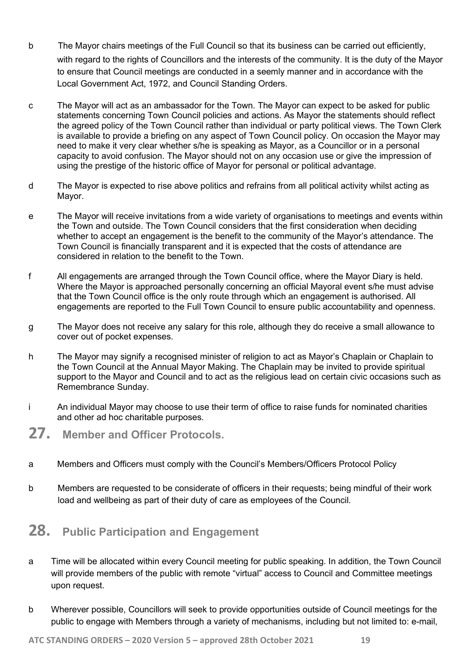- b The Mayor chairs meetings of the Full Council so that its business can be carried out efficiently, with regard to the rights of Councillors and the interests of the community. It is the duty of the Mayor to ensure that Council meetings are conducted in a seemly manner and in accordance with the Local Government Act, 1972, and Council Standing Orders.
- c The Mayor will act as an ambassador for the Town. The Mayor can expect to be asked for public statements concerning Town Council policies and actions. As Mayor the statements should reflect the agreed policy of the Town Council rather than individual or party political views. The Town Clerk is available to provide a briefing on any aspect of Town Council policy. On occasion the Mayor may need to make it very clear whether s/he is speaking as Mayor, as a Councillor or in a personal capacity to avoid confusion. The Mayor should not on any occasion use or give the impression of using the prestige of the historic office of Mayor for personal or political advantage.
- d The Mayor is expected to rise above politics and refrains from all political activity whilst acting as Mayor.
- e The Mayor will receive invitations from a wide variety of organisations to meetings and events within the Town and outside. The Town Council considers that the first consideration when deciding whether to accept an engagement is the benefit to the community of the Mayor's attendance. The Town Council is financially transparent and it is expected that the costs of attendance are considered in relation to the benefit to the Town.
- f All engagements are arranged through the Town Council office, where the Mayor Diary is held. Where the Mayor is approached personally concerning an official Mayoral event s/he must advise that the Town Council office is the only route through which an engagement is authorised. All engagements are reported to the Full Town Council to ensure public accountability and openness.
- g The Mayor does not receive any salary for this role, although they do receive a small allowance to cover out of pocket expenses.
- h The Mayor may signify a recognised minister of religion to act as Mayor's Chaplain or Chaplain to the Town Council at the Annual Mayor Making. The Chaplain may be invited to provide spiritual support to the Mayor and Council and to act as the religious lead on certain civic occasions such as Remembrance Sunday.
- i An individual Mayor may choose to use their term of office to raise funds for nominated charities and other ad hoc charitable purposes.
- 27. Member and Officer Protocols.
- a Members and Officers must comply with the Council's Members/Officers Protocol Policy
- b Members are requested to be considerate of officers in their requests; being mindful of their work load and wellbeing as part of their duty of care as employees of the Council.

## 28. Public Participation and Engagement

- a Time will be allocated within every Council meeting for public speaking. In addition, the Town Council will provide members of the public with remote "virtual" access to Council and Committee meetings upon request.
- b Wherever possible, Councillors will seek to provide opportunities outside of Council meetings for the public to engage with Members through a variety of mechanisms, including but not limited to: e-mail,